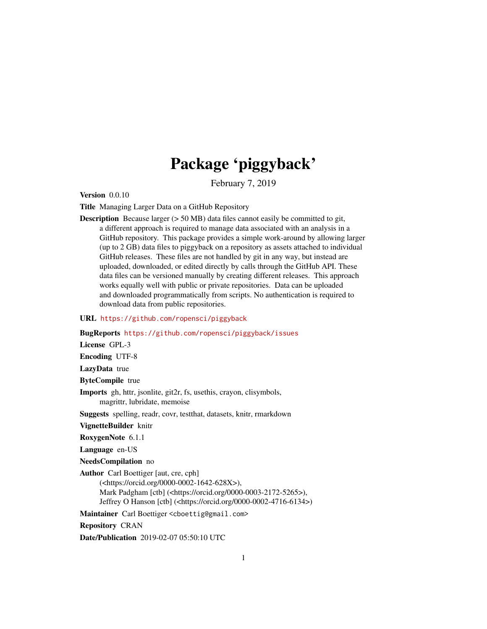## Package 'piggyback'

February 7, 2019

Version 0.0.10

Title Managing Larger Data on a GitHub Repository

Description Because larger (> 50 MB) data files cannot easily be committed to git, a different approach is required to manage data associated with an analysis in a GitHub repository. This package provides a simple work-around by allowing larger (up to 2 GB) data files to piggyback on a repository as assets attached to individual GitHub releases. These files are not handled by git in any way, but instead are uploaded, downloaded, or edited directly by calls through the GitHub API. These data files can be versioned manually by creating different releases. This approach works equally well with public or private repositories. Data can be uploaded and downloaded programmatically from scripts. No authentication is required to download data from public repositories.

#### URL <https://github.com/ropensci/piggyback>

#### BugReports <https://github.com/ropensci/piggyback/issues>

License GPL-3

Encoding UTF-8

LazyData true

ByteCompile true

Imports gh, httr, jsonlite, git2r, fs, usethis, crayon, clisymbols, magrittr, lubridate, memoise

Suggests spelling, readr, covr, testthat, datasets, knitr, rmarkdown

VignetteBuilder knitr

RoxygenNote 6.1.1

Language en-US

NeedsCompilation no

Author Carl Boettiger [aut, cre, cph]

(<https://orcid.org/0000-0002-1642-628X>), Mark Padgham [ctb] (<https://orcid.org/0000-0003-2172-5265>), Jeffrey O Hanson [ctb] (<https://orcid.org/0000-0002-4716-6134>)

Maintainer Carl Boettiger <cboettig@gmail.com>

Repository CRAN

Date/Publication 2019-02-07 05:50:10 UTC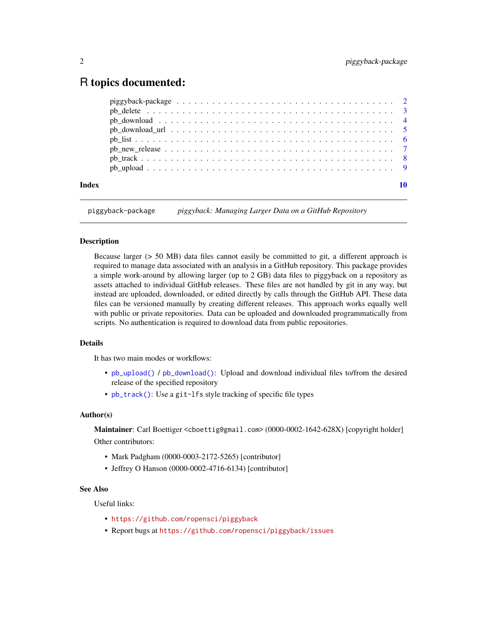### <span id="page-1-0"></span>R topics documented:

| Index | 10 |
|-------|----|
|       |    |
|       |    |
|       |    |
|       |    |
|       |    |
|       |    |
|       |    |
|       |    |

piggyback-package *piggyback: Managing Larger Data on a GitHub Repository*

#### Description

Because larger (> 50 MB) data files cannot easily be committed to git, a different approach is required to manage data associated with an analysis in a GitHub repository. This package provides a simple work-around by allowing larger (up to 2 GB) data files to piggyback on a repository as assets attached to individual GitHub releases. These files are not handled by git in any way, but instead are uploaded, downloaded, or edited directly by calls through the GitHub API. These data files can be versioned manually by creating different releases. This approach works equally well with public or private repositories. Data can be uploaded and downloaded programmatically from scripts. No authentication is required to download data from public repositories.

#### Details

It has two main modes or workflows:

- [pb\\_upload\(\)](#page-8-1) / [pb\\_download\(\)](#page-3-1): Upload and download individual files to/from the desired release of the specified repository
- [pb\\_track\(\)](#page-7-1): Use a git-lfs style tracking of specific file types

#### Author(s)

Maintainer: Carl Boettiger <cboettig@gmail.com> (0000-0002-1642-628X) [copyright holder] Other contributors:

- Mark Padgham (0000-0003-2172-5265) [contributor]
- Jeffrey O Hanson (0000-0002-4716-6134) [contributor]

#### See Also

Useful links:

- <https://github.com/ropensci/piggyback>
- Report bugs at <https://github.com/ropensci/piggyback/issues>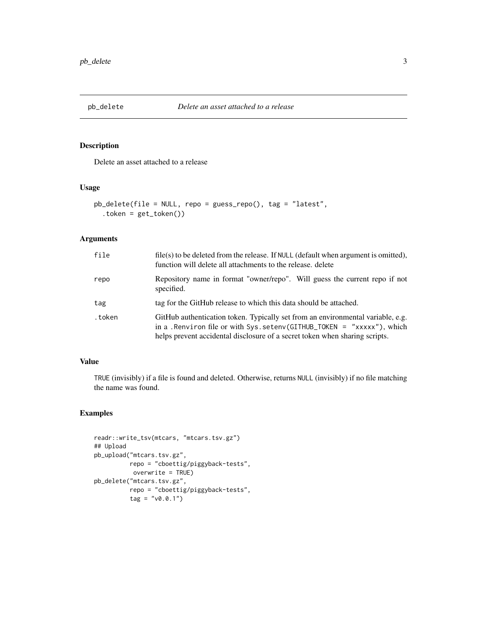<span id="page-2-0"></span>

Delete an asset attached to a release

#### Usage

```
pb_delete(file = NULL, repo = guess_repo(), tag = "latest",
  .token = get_token())
```
#### Arguments

| file   | file(s) to be deleted from the release. If NULL (default when argument is omitted),<br>function will delete all attachments to the release, delete                                                                                         |
|--------|--------------------------------------------------------------------------------------------------------------------------------------------------------------------------------------------------------------------------------------------|
| repo   | Repository name in format "owner/repo". Will guess the current repo if not<br>specified.                                                                                                                                                   |
| tag    | tag for the GitHub release to which this data should be attached.                                                                                                                                                                          |
| .token | GitHub authentication token. Typically set from an environmental variable, e.g.<br>in a . Renviron file or with $Sys.setenv(GITHUB_TOKEN = "xxxxx"), which$<br>helps prevent accidental disclosure of a secret token when sharing scripts. |

#### Value

TRUE (invisibly) if a file is found and deleted. Otherwise, returns NULL (invisibly) if no file matching the name was found.

#### Examples

```
readr::write_tsv(mtcars, "mtcars.tsv.gz")
## Upload
pb_upload("mtcars.tsv.gz",
         repo = "cboettig/piggyback-tests",
          overwrite = TRUE)
pb_delete("mtcars.tsv.gz",
          repo = "cboettig/piggyback-tests",
          tag = "v0.0.1")
```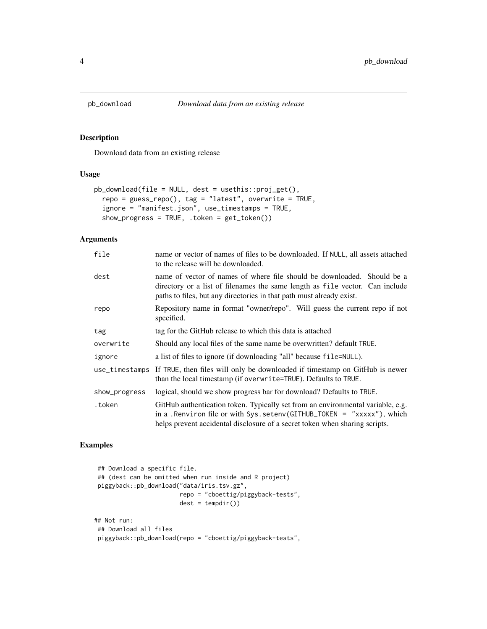<span id="page-3-1"></span><span id="page-3-0"></span>

Download data from an existing release

#### Usage

```
pb_download(file = NULL, dest = usethis::proj_get(),
  repo = guess_repo(), tag = "latest", overwrite = TRUE,
  ignore = "manifest.json", use_timestamps = TRUE,
  show_progress = TRUE, .token = get_token())
```
#### Arguments

| file           | name or vector of names of files to be downloaded. If NULL, all assets attached<br>to the release will be downloaded.                                                                                                                      |
|----------------|--------------------------------------------------------------------------------------------------------------------------------------------------------------------------------------------------------------------------------------------|
| dest           | name of vector of names of where file should be downloaded. Should be a<br>directory or a list of filenames the same length as file vector. Can include<br>paths to files, but any directories in that path must already exist.            |
| repo           | Repository name in format "owner/repo". Will guess the current repo if not<br>specified.                                                                                                                                                   |
| tag            | tag for the GitHub release to which this data is attached                                                                                                                                                                                  |
| overwrite      | Should any local files of the same name be overwritten? default TRUE.                                                                                                                                                                      |
| ignore         | a list of files to ignore (if downloading "all" because file=NULL).                                                                                                                                                                        |
| use_timestamps | If TRUE, then files will only be downloaded if timestamp on GitHub is newer<br>than the local timestamp (if overwrite=TRUE). Defaults to TRUE.                                                                                             |
| show_progress  | logical, should we show progress bar for download? Defaults to TRUE.                                                                                                                                                                       |
| .token         | GitHub authentication token. Typically set from an environmental variable, e.g.<br>in a . Renviron file or with $Sys.setenv(GITHUB_TOKEN = "xxxxx"), which$<br>helps prevent accidental disclosure of a secret token when sharing scripts. |

#### Examples

```
## Download a specific file.
## (dest can be omitted when run inside and R project)
piggyback::pb_download("data/iris.tsv.gz",
                       repo = "cboettig/piggyback-tests",
                       dest = tempdir()## Not run:
## Download all files
piggyback::pb_download(repo = "cboettig/piggyback-tests",
```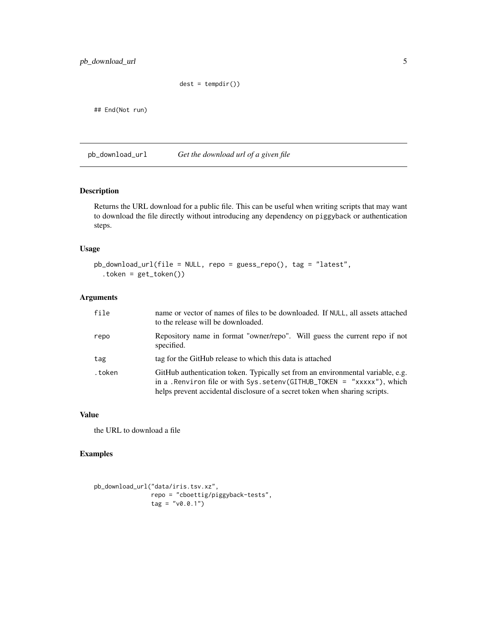<span id="page-4-0"></span>pb\_download\_url 5

```
dest = tempdir()
```
## End(Not run)

pb\_download\_url *Get the download url of a given file*

#### Description

Returns the URL download for a public file. This can be useful when writing scripts that may want to download the file directly without introducing any dependency on piggyback or authentication steps.

#### Usage

```
pb_download_url(file = NULL, repo = guess_repo(), tag = "latest",
  .token = get_token())
```
#### Arguments

| file   | name or vector of names of files to be downloaded. If NULL, all assets attached<br>to the release will be downloaded.                                                                                                                      |
|--------|--------------------------------------------------------------------------------------------------------------------------------------------------------------------------------------------------------------------------------------------|
| repo   | Repository name in format "owner/repo". Will guess the current repo if not<br>specified.                                                                                                                                                   |
| tag    | tag for the GitHub release to which this data is attached                                                                                                                                                                                  |
| .token | GitHub authentication token. Typically set from an environmental variable, e.g.<br>in a . Renviron file or with $Sys.setenv(GITHUB_TOKEN = "xxxxx"), which$<br>helps prevent accidental disclosure of a secret token when sharing scripts. |

#### Value

the URL to download a file

#### Examples

```
pb_download_url("data/iris.tsv.xz",
               repo = "cboettig/piggyback-tests",
               tag = "v0.0.1")
```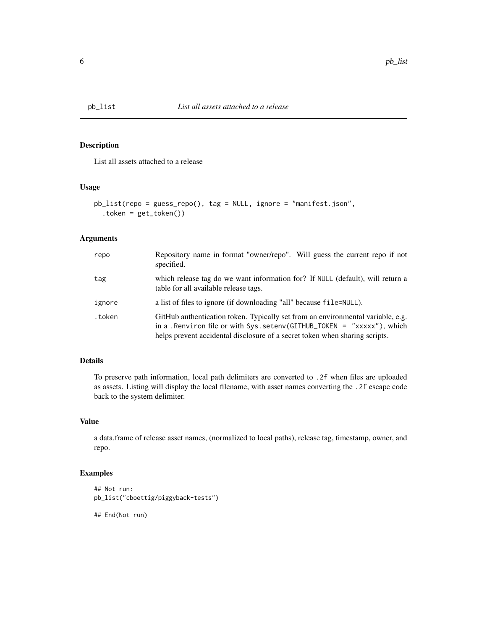<span id="page-5-0"></span>

List all assets attached to a release

#### Usage

```
pb_list(repo = guess_repo(), tag = NULL, ignore = "manifest.json",
  .token = get_token())
```
#### Arguments

| repo   | Repository name in format "owner/repo". Will guess the current repo if not<br>specified.                                                                                                                                                  |
|--------|-------------------------------------------------------------------------------------------------------------------------------------------------------------------------------------------------------------------------------------------|
| tag    | which release tag do we want information for? If NULL (default), will return a<br>table for all available release tags.                                                                                                                   |
| ignore | a list of files to ignore (if downloading "all" because file=NULL).                                                                                                                                                                       |
| .token | GitHub authentication token. Typically set from an environmental variable, e.g.<br>in a . Renviron file or with Sys. setenv(GITHUB_TOKEN = "xxxxx"), which<br>helps prevent accidental disclosure of a secret token when sharing scripts. |

#### Details

To preserve path information, local path delimiters are converted to .2f when files are uploaded as assets. Listing will display the local filename, with asset names converting the .2f escape code back to the system delimiter.

#### Value

a data.frame of release asset names, (normalized to local paths), release tag, timestamp, owner, and repo.

#### Examples

```
## Not run:
pb_list("cboettig/piggyback-tests")
```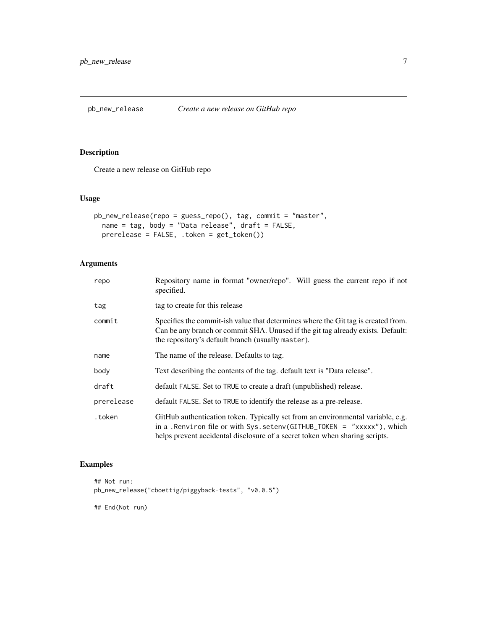<span id="page-6-0"></span>pb\_new\_release *Create a new release on GitHub repo*

#### Description

Create a new release on GitHub repo

#### Usage

```
pb_new_release(repo = guess_repo(), tag, commit = "master",
  name = tag, body = "Data release", draft = FALSE,
  prerelease = FALSE, .token = get_token())
```
#### Arguments

| repo       | Repository name in format "owner/repo". Will guess the current repo if not<br>specified.                                                                                                                                                   |
|------------|--------------------------------------------------------------------------------------------------------------------------------------------------------------------------------------------------------------------------------------------|
| tag        | tag to create for this release                                                                                                                                                                                                             |
| commit     | Specifies the commit-ish value that determines where the Git tag is created from.<br>Can be any branch or commit SHA. Unused if the git tag already exists. Default:<br>the repository's default branch (usually master).                  |
| name       | The name of the release. Defaults to tag.                                                                                                                                                                                                  |
| body       | Text describing the contents of the tag. default text is "Data release".                                                                                                                                                                   |
| draft      | default FALSE. Set to TRUE to create a draft (unpublished) release.                                                                                                                                                                        |
| prerelease | default FALSE. Set to TRUE to identify the release as a pre-release.                                                                                                                                                                       |
| .token     | GitHub authentication token. Typically set from an environmental variable, e.g.<br>in a . Renviron file or with $Sys.setenv(GITHUB_TOKEN = "xxxxx"), which$<br>helps prevent accidental disclosure of a secret token when sharing scripts. |

#### Examples

```
## Not run:
pb_new_release("cboettig/piggyback-tests", "v0.0.5")
```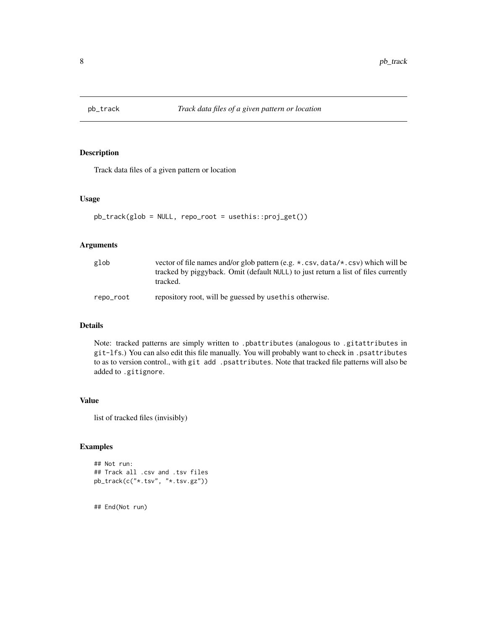<span id="page-7-1"></span><span id="page-7-0"></span>

Track data files of a given pattern or location

#### Usage

```
pb_track(glob = NULL, repo_root = usethis::proj_get())
```
#### Arguments

| glob      | vector of file names and/or glob pattern (e.g. $\star$ , csv, data/ $\star$ , csv) which will be<br>tracked by piggyback. Omit (default NULL) to just return a list of files currently<br>tracked. |
|-----------|----------------------------------------------------------------------------------------------------------------------------------------------------------------------------------------------------|
| repo_root | repository root, will be guessed by use this otherwise.                                                                                                                                            |

#### Details

Note: tracked patterns are simply written to .pbattributes (analogous to .gitattributes in git-lfs.) You can also edit this file manually. You will probably want to check in .psattributes to as to version control., with git add .psattributes. Note that tracked file patterns will also be added to .gitignore.

#### Value

list of tracked files (invisibly)

#### Examples

```
## Not run:
## Track all .csv and .tsv files
pb_track(c("*.tsv", "*.tsv.gz"))
```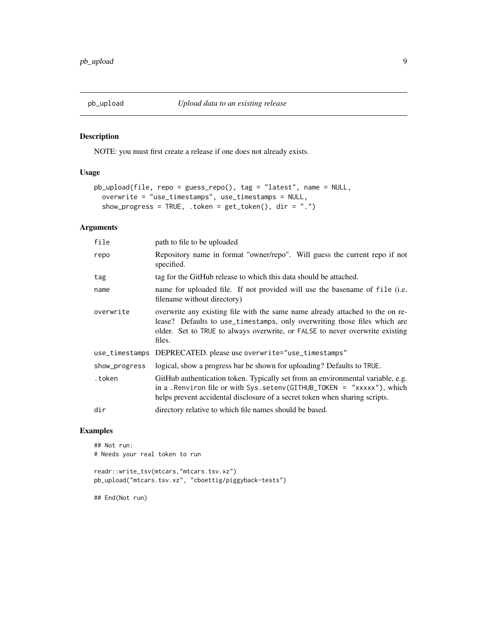<span id="page-8-1"></span><span id="page-8-0"></span>

NOTE: you must first create a release if one does not already exists.

#### Usage

```
pb_upload(file, repo = guess_repo(), tag = "latest", name = NULL,
 overwrite = "use_timestamps", use_timestamps = NULL,
  show_progress = TRUE, .token = get_token(), dir = ".")
```
#### Arguments

| file           | path to file to be uploaded                                                                                                                                                                                                                          |
|----------------|------------------------------------------------------------------------------------------------------------------------------------------------------------------------------------------------------------------------------------------------------|
| repo           | Repository name in format "owner/repo". Will guess the current repo if not<br>specified.                                                                                                                                                             |
| tag            | tag for the GitHub release to which this data should be attached.                                                                                                                                                                                    |
| name           | name for uploaded file. If not provided will use the basename of file (i.e.<br>filename without directory)                                                                                                                                           |
| overwrite      | overwrite any existing file with the same name already attached to the on re-<br>lease? Defaults to use_timestamps, only overwriting those files which are<br>older. Set to TRUE to always overwrite, or FALSE to never overwrite existing<br>files. |
| use_timestamps | DEPRECATED. please use overwrite="use_timestamps"                                                                                                                                                                                                    |
| show_progress  | logical, show a progress bar be shown for uploading? Defaults to TRUE.                                                                                                                                                                               |
| .token         | GitHub authentication token. Typically set from an environmental variable, e.g.<br>in a . Renviron file or with $Sys.setenv(GITHUB_TOKEN = "xxxxx"), which$<br>helps prevent accidental disclosure of a secret token when sharing scripts.           |
| dir            | directory relative to which file names should be based.                                                                                                                                                                                              |
|                |                                                                                                                                                                                                                                                      |

#### Examples

## Not run: # Needs your real token to run readr::write\_tsv(mtcars,"mtcars.tsv.xz") pb\_upload("mtcars.tsv.xz", "cboettig/piggyback-tests")